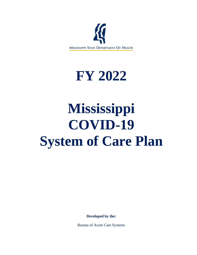

# **FY 2022**

# **Mississippi COVID-19 System of Care Plan**

**Developed by the:**

Bureau of Acute Care Systems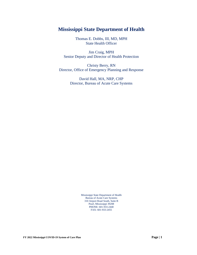# **Mississippi State Department of Health**

Thomas E. Dobbs, III, MD, MPH State Health Officer

Jim Craig, MPH Senior Deputy and Director of Health Protection

Christy Berry, RN Director, Office of Emergency Planning and Response

> David Hall, MA, NRP, CHP Director, Bureau of Acute Care Systems

> > Mississippi State Department of Health Bureau of Acute Care Systems 310 Airport Road South, Suite B Pearl, Mississippi 39208 PHONE: 601-933-2440 FAX: 601-933-2455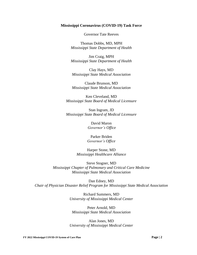#### **Mississippi Coronavirus (COVID-19) Task Force**

Governor Tate Reeves

Thomas Dobbs, MD, MPH *Mississippi State Department of Health*

Jim Craig, MPH *Mississippi State Department of Health*

Clay Hays, MD *Mississippi State Medical Association*

Claude Brunson, MD *Mississippi State Medical Association*

Ken Cleveland, MD *Mississippi State Board of Medical Licensure*

Stan Ingram, JD *Mississippi State Board of Medical Licensure*

> David Maron *Governor's Office*

Parker Briden *Governor's Office*

Harper Stone, MD *Mississippi Healthcare Alliance*

Steve Stogner, MD *Mississippi Chapter of Pulmonary and Critical Care Medicine Mississippi State Medical Association*

Dan Edney, MD *Chair of Physician Disaster Relief Program for Mississippi State Medical Association*

> Richard Summers, MD *University of Mississippi Medical Center*

Peter Arnold, MD *Mississippi State Medical Association*

Alan Jones, MD *University of Mississippi Medical Center*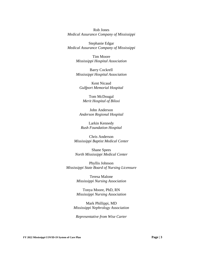Rob Jones *Medical Assurance Company of Mississippi*

Stephanie Edgar *Medical Assurance Company of Mississippi*

> Tim Moore *Mississippi Hospital Association*

> Barry Cockrell *Mississippi Hospital Association*

Kent Nicaud *Gulfport Memorial Hospital*

Tom McDougal *Merit Hospital of Biloxi*

John Anderson *Anderson Regional Hospital*

Larkin Kennedy *Rush Foundation Hospital*

Chris Anderson *Mississippi Baptist Medical Center*

Shane Spees *North Mississippi Medical Center*

Phyllis Johnson *Mississippi State Board of Nursing Licensure*

> Teresa Malone *Mississippi Nursing Association*

> Tonya Moore, PhD, RN *Mississippi Nursing Association*

Mark Phillippi, MD *Mississippi Nephrology Association*

*Representative from Wise Carter*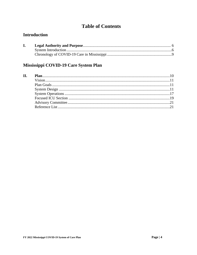# **Table of Contents**

# **Introduction**

# Mississippi COVID-19 Care System Plan

| $\Pi$ . |  |
|---------|--|
|         |  |
|         |  |
|         |  |
|         |  |
|         |  |
|         |  |
|         |  |
|         |  |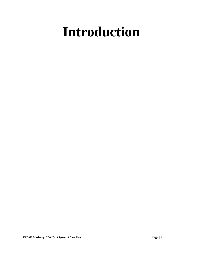# **Introduction**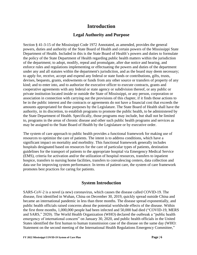# **Introduction**

## **Legal Authority and Purpose**

Section § 41-3-15 of the Mississippi Code 1972 Annotated, as amended, provides the general powers, duties and authority of the State Board of Health and certain powers of the Mississippi State Department of Health. Included in this is the State Board of Health's powers and duties to formulate the policy of the State Department of Health regarding public health matters within the jurisdiction of the department; to adopt, modify, repeal and promulgate, after due notice and hearing, and enforce rules and regulations implementing or effectuating the powers and duties of the department under any and all statutes within the department's jurisdiction, and as the board may deem necessary; to apply for, receive, accept and expend any federal or state funds or contributions, gifts, trusts, devises, bequests, grants, endowments or funds from any other source or transfers of property of any kind; and to enter into, and to authorize the executive officer to execute contracts, grants and cooperative agreements with any federal or state agency or subdivision thereof, or any public or private institution located inside or outside the State of Mississippi, or any person, corporation or association in connection with carrying out the provisions of this chapter, if it finds those actions to be in the public interest and the contracts or agreements do not have a financial cost that exceeds the amounts appropriated for those purposes by the Legislature. The State Board of Health shall have the authority, in its discretion, to establish programs to promote the public health, to be administered by the State Department of Health. Specifically, those programs may include, but shall not be limited to, programs in the areas of chronic disease and other such public health programs and services as may be assigned to the State Board of Health by the Legislature or by executive order.

The system of care approach to public health provides a functional framework for making use of resources to optimize the care of patients. The intent is to address conditions, which have a significant impact on mortality and morbidity. This functional framework generally includes hospitals designated based on resources for the care of particular types of patients, destination guidelines for the transport of patients to the appropriate hospital via Emergency Medical Service (EMS), criteria for activation and/or the utilization of hospital resources, transfers to inpatient hospice, transfers to nursing home facilities, transfers to convalescing centers, data collection and data use for improving system performance. In terms of patient care, the system of care framework promotes best practices for caring for patients.

# **System Introduction**

SARS-CoV-2 is a novel (a new) coronavirus, which causes the disease called COVID-19. The disease, first identified in Wuhan, China on December 30, 2019, quickly spread outside China and became an international pandemic in less than three months. The disease spread exponentially, and public health officials raised concerns about the potential worldwide effects of the disease. Within the first three months, 1,000,000 people had been infected and 50,000 had died ("COVID-19, MERS and SARS," 2020). The World Health Organization (WHO) declared the outbreak a "public health emergency of international concern" on January 30, 2020, and public health officials in the United States identified the first human to human transmission case of the disease on the same day (WHO: Statement on the second meeting of the International Health Regulations Emergency Committee,"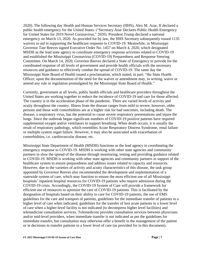2020). The following day Health and Human Services Secretary (HHS), Alex M. Azar, II declared a public health emergency for the United States. ("Secretary Azar Declares Public Health Emergency for United States for 2019 Novel Coronavirus," 2020). President Trump declared a national emergency on March 13, 2020. As provided for by law, the HHS Secretary subsequently issued 1135 waivers to aid in supporting the healthcare response to COVID-19. Meanwhile, in Mississippi Governor Tate Reeves signed Executive Order No. 1457 on March 4, 2020, which designated MSDH as the lead state agency to coordinate emergency response activities related to COVID-19 and established the Mississippi Coronavirus (COVID-19) Preparedness and Response Steering Committee. On March 14, 2020, Governor Reeves declared a State of Emergency to provide for the coordinated response of all levels of government and provide health officials with the necessary resources and guidance to effectively combat the spread of COVID-19. The same day the Mississippi State Board of Health issued a proclamation, which stated, in part: "the State Health Officer, upon the documentation of the need for the waiver or amendment may, in writing, waive or amend any rule or regulation promulgated by the Mississippi State Board of Health."

Currently, government at all levels, public health officials and healthcare providers throughout the United States are working together to reduce the incidence of COVID-19 and care for those affected. The country is in the acceleration phase of the pandemic. There are varied levels of activity and acuity throughout the country. Illness from the disease ranges from mild to severe; however, older persons and those with comorbidities are at a higher risk for bad outcomes, including death. The disease, a respiratory virus, has the potential to cause severe respiratory presentations and injure the lungs. Since the outbreak began significant numbers of COVID-19 positive patients have required supplemental oxygen and/or ventilators to support breathing. When death occurs, it is usually the result of respiratory pathology, which resembles Acute Respiratory Distress Syndrome, renal failure or multiple system organ failure. However, it may also be associated with exacerbation of comorbidities, i.e. cardiovascular disease, etc.

Mississippi State Department of Health (MSDH) functions as the lead agency in coordinating the emergency response to COVID-19. MSDH is working with other state agencies and community partners to slow the spread of the disease through monitoring, testing and providing guidance related to COVID-19. MSDH is working with other state agencies and community partners in support of the healthcare system to ensure preparedness and address issues related to capacity and resources. However, due to the varieties of activity and acuity characteristics of this disease, the task group appointed by Governor Reeves also recommended the development and implementation of a statewide system of care, which may function to ensure the most efficient use of all Mississippi hospitals' inpatient hospital resources for COVID-19 patients who require admission during the COVID-19 crisis. Accordingly, the COVID-19 System of Care will provide a framework for efficient use of resources to optimize the care of COVID-19 patients. This is facilitated by the designation of hospitals based on their ability to care for COVID-19 patients, the use of EMS guidelines for the care and transport of patients, guidelines for the immediate transfer of patients to a higher level of care when indicated, guidelines for the transfer of less acute patients to a lower level of care when a higher-level facility is not indicated (to decompress higher level facilities) and telemedicine consultation services. Telemedicine provides consultation services between physicians and/or mid-level providers, when immediate transfer is not indicated as per the guidelines for immediate transfer, but consultation may otherwise offer a benefit in the management of the patient or in decisions to transfer patients to a lower level of care (as provided for in this document).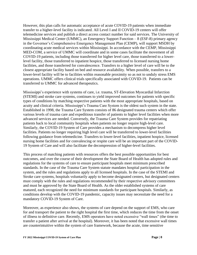However, this plan calls for automatic acceptance of acute COVID-19 patients when immediate transfer to a higher-level facility is indicated. All Level I and II COVID-19 centers will offer telemedicine services and publish a direct access contact number for said services. The University of Mississippi Medical Center (UMMC), an Emergency Support Function – 8 (ESF-8) primary agency in the Governor's Comprehensive Emergency Management Plan (CEMP), will support MSDH by coordinating acute medical services within Mississippi. In accordance with the CEMP, Mississippi MED-COM, a service of UMMC will coordinate and in some cases facilitate the movement of all COVID-19 patients, including those transferred for higher level care, those transferred to a lowerlevel facility, those transferred to inpatient hospice, those transferred to licensed nursing home facilities, and those transferred for convalescence. Transfers to a higher level of care will be to the closest appropriate facility based on bed and resource availability. When possible, transfers to a lower-level facility will be to facilities within reasonable proximity so as not to unduly stress EMS operations. UMMC offers clinical trials specifically associated with COVID-19. Patients can be transferred to UMMC for advanced therapeutics.

Mississippi's experience with systems of care, i.e. trauma, ST-Elevation Myocardial Infarction (STEMI) and stroke care systems, continues to yield improved outcomes for patients with specific types of conditions by matching respective patients with the most appropriate hospitals, based on acuity and clinical criteria. Mississippi's Trauma Care System is the oldest such system in the state. Established in 1998, the Trauma Care System consists of 86 designated trauma centers which offer various levels of trauma care and expeditious transfer of patients to higher level facilities when more advanced services are needed. Conversely, the Trauma Care System provides for repatriating patients back to local community hospitals when patients no longer require high-level care. Similarly, the COVID-19 System of Care provides a mechanism to decompress higher level facilities. Patients no longer requiring high level care will be transferred to lower-level facilities following guidance from telemedicine. Transfers to lower-level facilities, inpatient hospice, licensed nursing home facilities and for convalescing or respite care will be an important part of the COVID-19 System of Care and will also facilitate the decompression of higher-level facilities.

This process of matching patients with resources offers the best possible opportunities for best outcomes, and over the course of their development the State Board of Health has adopted rules and regulations for the systems of care to ensure participant hospitals meet minimum prescribed standards. In the case of the Trauma Care System statute mandates hospital participation in the system, and the rules and regulations apply to all licensed hospitals. In the case of the STEMI and Stroke care systems, hospitals voluntarily apply to become designated centers, but designated centers must comply with the rules and regulations recommended by their respective advisory committees and must be approved by the State Board of Health. As the older established systems of care matured, each recognized the need for minimum standards for participant hospitals. Similarly, as conditions develop with the COVID-19 pandemic, capacity issues may necessitate the need for a mandatory COVID-19 System of Care.

Moreover, as experience also shows, the systems of care depend on the support of EMS, who care for and transport the patient to the right hospital the first time, which reduces the time from the onset of illness to definitive care. Recently, EMS operators have noted excessive "wall times" (the time to transfer a patient after arrival at the hospital). Moreover, it has been noted that excessive wall times are counterintuitive within the system of care framework, because the acute, time sensitive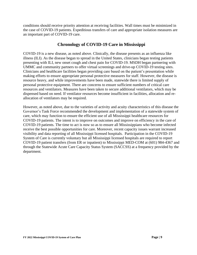conditions should receive priority attention at receiving facilities. Wall times must be minimized in the case of COVID-19 patients. Expeditious transfers of care and appropriate isolation measures are an important part of COVID-19 care.

## **Chronology of COVID-19 Care in Mississippi**

COVID-19 is a new disease, as noted above. Clinically, the disease presents as an influenza like illness (ILI). As the disease began to spread in the United States, clinicians began testing patients presenting with ILI, new onset cough and chest pain for COVID-19. MSDH began partnering with UMMC and community partners to offer virtual screenings and drive-up COVID-19 testing sites. Clinicians and healthcare facilities began providing care based on the patient's presentation while making efforts to ensure appropriate personal protective measures for staff. However, the disease is resource heavy, and while improvements have been made, statewide there is limited supply of personal protective equipment. There are concerns to ensure sufficient numbers of critical care resources and ventilators. Measures have been taken to secure additional ventilators, which may be dispensed based on need. If ventilator resources become insufficient in facilities, allocation and reallocation of ventilators may be required.

However, as noted above, due to the varieties of activity and acuity characteristics of this disease the Governor's Task Force recommended the development and implementation of a statewide system of care, which may function to ensure the efficient use of all Mississippi healthcare resources for COVID-19 patients. The intent is to improve on outcomes and improve on efficiency in the care of COVID-19 patients. The time to act is now so as to ensure all Mississippians who become infected receive the best possible opportunities for care. Moreover, recent capacity issues warrant increased visibility and data reporting of all Mississippi licensed hospitals. Participation in the COVID-19 System of Care is currently voluntary but all Mississippi licensed hospitals are required to report COVID-19 patient transfers (from ER or inpatient) to Mississippi MED-COM at (601) 984-4367 and through the Statewide Acute Care Capacity Status System (SACCSS) at a frequency provided by the department.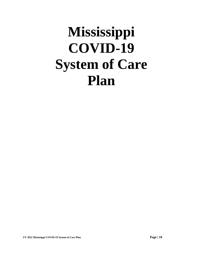# **Mississippi COVID-19 System of Care Plan**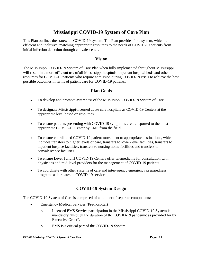# **Mississippi COVID-19 System of Care Plan**

This Plan outlines the statewide COVID-19 system. The Plan provides for a system, which is efficient and inclusive, matching appropriate resources to the needs of COVID-19 patients from initial infection detection through convalescence.

### **Vision**

The Mississippi COVID-19 System of Care Plan when fully implemented throughout Mississippi will result in a more efficient use of all Mississippi hospitals' inpatient hospital beds and other resources for COVID-19 patients who require admission during COVID-19 crisis to achieve the best possible outcomes in terms of patient care for COVID-19 patients.

## **Plan Goals**

- To develop and promote awareness of the Mississippi COVID-19 System of Care
- To designate Mississippi-licensed acute care hospitals as COVID-19 Centers at the appropriate level based on resources
- To ensure patients presenting with COVID-19 symptoms are transported to the most appropriate COVID-19 Center by EMS from the field
- To ensure coordinated COVID-19 patient movement to appropriate destinations, which includes transfers to higher levels of care, transfers to lower-level facilities, transfers to inpatient hospice facilities, transfers to nursing home facilities and transfers to convalescence facilities
- To ensure Level I and II COVID-19 Centers offer telemedicine for consultation with physicians and mid-level providers for the management of COVID-19 patients
- To coordinate with other systems of care and inter-agency emergency preparedness programs as it relates to COVID-19 services

# **COVID-19 System Design**

The COVID-19 System of Care is comprised of a number of separate components:

- Emergency Medical Services (Pre-hospital)
	- o Licensed EMS Service participation in the Mississippi COVID-19 System is mandatory "through the duration of the COVID-19 pandemic as provided for by Executive Order".
	- o EMS is a critical part of the COVID-19 System.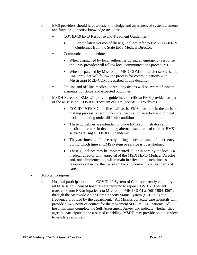- o EMS providers should have a basic knowledge and awareness of system elements and function. Specific knowledge includes:
	- COVID-19 EMS Response and Treatment Guidelines
		- For the latest version of these guidelines refer to EMS COVID-19 Guidelines from the State EMS Medical Director.
	- Communication procedures
		- When dispatched by local authorities during an emergency response, the EMS provider will follow local communications procedures.
		- When dispatched by Mississippi MED-COM for transfer services, the EMS provider will follow the process for communications with Mississippi MED-COM prescribed in this document.
	- On-line and off-line medical control physicians will be aware of system elements, functions and expected outcomes.
- o MSDH Bureau of EMS will provide guidelines specific to EMS providers as part of the Mississippi COVID-19 System of Care (see MSDH Website).
	- COVID-19 EMS Guidelines will assist EMS providers in the decisionmaking process regarding hospital destination selection and clinical decision-making under difficult conditions.
	- These guidelines are intended to guide EMS administrators and medical directors in developing alternate standards of care for EMS services during a COVID 19 pandemic.
	- They are intended for use only during a declared state of emergency during which time an EMS system or service is overwhelmed.
	- These guidelines may be implemented, all or in part, by the local EMS medical director with approval of the MSDH EMS Medical Director and, once implemented, will remain in effect until such time as resources allow for the transition back to conventional standards of care.
- Hospital Component
	- o Hospital participation in the COVID-19 System of Care is currently voluntary but all Mississippi licensed hospitals are required to report COVID-19 patient transfers (from ER or inpatient) to Mississippi MED-COM at (601) 984-4367 and through the Statewide Acute Care Capacity Status System (SACCSS) at a frequency provided by the department. All Mississippi acute care hospitals will provide a 24/7 point of contact for the movement of COVID-19 patients. All hospitals must complete the Self-Assessment Survey and indicate whether they agree to participate at the assessed capability. MSDH may provide on-site reviews to validate resources.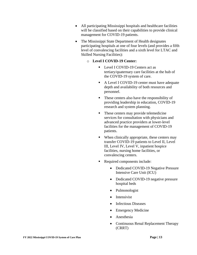- All participating Mississippi hospitals and healthcare facilities will be classified based on their capabilities to provide clinical management for COVID-19 patients.
- The Mississippi State Department of Health designates participating hospitals at one of four levels (and provides a fifth level of convalescing facilities and a sixth level for LTAC and Skilled Nursing Facilities):
	- o **Level I COVID-19 Center:** 
		- Level I COVID-19 Centers act as tertiary/quaternary care facilities at the hub of the COVID-19 system of care.
		- A Level I COVID-19 center must have adequate depth and availability of both resources and personnel.
		- These centers also have the responsibility of providing leadership in education, COVID-19 research and system planning.
		- These centers may provide telemedicine services for consultation with physicians and advanced practice providers at lower-level facilities for the management of COVID-19 patients.
		- When clinically appropriate, these centers may transfer COVID-19 patients to Level II, Level III, Level IV, Level V, inpatient hospice facilities, nursing home facilities, or convalescing centers.
		- Required components include:
			- Dedicated COVID-19 Negative Pressure Intensive Care Unit (ICU)
			- Dedicated COVID-19 negative pressure hospital beds
			- Pulmonologist
			- Intensivist
			- Infectious Diseases
			- Emergency Medicine
			- Anesthesia
			- Continuous Renal Replacement Therapy (CRRT)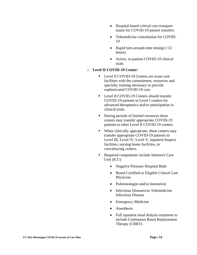- Hospital-based critical care transport teams for COVID-19 patient transfers
- Telemedicine consultation for COVID-19
- Rapid turn-around-time testing  $\left( < 12 \right)$ hours)
- Active, in-patient COVID-19 clinical trials

#### o **Level II COVID-19 Center:**

- Level II COVID-19 Centers are acute care facilities with the commitment, resources and specialty training necessary to provide sophisticated COVID-19 care.
- Level II COVID-19 Centers should transfer COVID-19 patients to Level I centers for advanced therapeutics and/or participation in clinical trials.
- During periods of limited resources these centers may transfer appropriate COVID-19 patients to other Level II COVID-19 centers.
- When clinically appropriate, these centers may transfer appropriate COVID-19 patients to Level III, Level IV, Level V, inpatient hospice facilities, nursing home facilities, or convalescing centers.
- Required components include Intensive Care Unit (ICU)
	- Negative Pressure Hospital Beds
	- Board Certified or Eligible Critical Care Physician
	- Pulmonologist and/or Intensivist
	- Infectious Diseases/or Telemedicine Infectious Disease
	- Emergency Medicine
	- Anesthesia
	- Full inpatient renal dialysis treatment to include Continuous Renal Replacement Therapy (CRRT)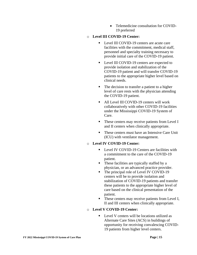• Telemedicine consultation for COVID-19 preferred

## o **Level III COVID-19 Center:**

- Level III COVID-19 centers are acute care facilities with the commitment, medical staff, personnel and specialty training necessary to provide initial care of the COVID-19 patient.
- Level III COVID-19 centers are expected to provide isolation and stabilization of the COVID-19 patient and will transfer COVID-19 patients to the appropriate higher level based on clinical needs.
- The decision to transfer a patient to a higher level of care rests with the physician attending the COVID-19 patient.
- All Level III COVID-19 centers will work collaboratively with other COVID-19 facilities under the Mississippi COVID-19 System of Care.
- These centers may receive patients from Level I and II centers when clinically appropriate.
- These centers must have an Intensive Care Unit (ICU) with ventilator management.

### o **Level IV COVID-19 Center:**

- Level IV COVID-19 Centers are facilities with a commitment to the care of the COVID-19 patient.
- These facilities are typically staffed by a physician, or an advanced practice provider.
- The principal role of Level IV COVID-19 centers will be to provide isolation and stabilization of COVID-19 patients and transfer these patients to the appropriate higher level of care based on the clinical presentation of the patient.
- These centers may receive patients from Level I, II and III centers when clinically appropriate.

## o **Level V COVID-19 Center:**

■ Level V centers will be locations utilized as Alternate Care Sites (ACS) in buildings of opportunity for receiving convalescing COVID-19 patients from higher level centers.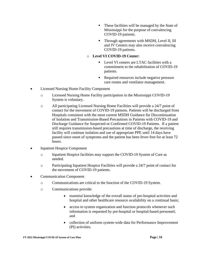- These facilities will be managed by the State of Mississippi for the purpose of convalescing COVID-19 patients.
- **•** Through agreements with MSDH, Level II, III and IV Centers may also receive convalescing COVID-19 patients.

#### o **Level VI COVID-19 Center:**

- Level VI centers are LTAC facilities with a commitment to the rehabilitation of COVID-19 patients.
- Required resources include negative pressure care rooms and ventilator management.
- Licensed Nursing Home Facility Component
	- o Licensed Nursing Home Facility participation in the Mississippi COVID-19 System is voluntary.
	- o All participating Licensed Nursing Home Facilities will provide a 24/7 point of contact for the movement of COVID-19 patients. Patients will be discharged from Hospitals consistent with the most current MSDH Guidance for Discontinuation of Isolation and Transmission-Based Precautions in Patients with COVID-19 and Discharge Guidance for Suspected or Confirmed COVID-19 Patients. If a patient still requires transmission-based precautions at time of discharge, the receiving facility will continue isolation and use of appropriate PPE until 14 days have passed since onset of symptoms and the patient has been fever-free for at least 72 hours.
- **Inpatient Hospice Component** 
	- o Inpatient Hospice facilities may support the COVID-19 System of Care as needed.
	- o Participating Inpatient Hospice Facilities will provide a 24/7 point of contact for the movement of COVID-19 patients.
- Communication Component
	- o Communications are critical to the function of the COVID-19 System.
	- o Communications provide:
		- essential knowledge of the overall status of pre-hospital activities and hospital and other healthcare resource availability on a continual basis;
		- access to system organization and function protocols whenever such information is requested by pre-hospital or hospital-based personnel; and
		- collection of uniform system-wide data for Performance Improvement (PI) activities.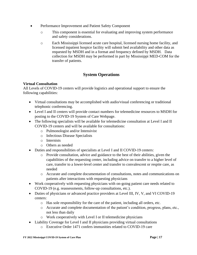- Performance Improvement and Patient Safety Component
	- o This component is essential for evaluating and improving system performance and safety considerations.
	- o Each Mississippi licensed acute care hospital, licensed nursing home facility, and licensed inpatient hospice facility will submit bed availability and other data as requested by MSDH and in a format and frequency defined by MSDH. Data collection for MSDH may be performed in part by Mississippi MED-COM for the transfer of patients.

# **System Operations**

### **Virtual Consultation**

All Levels of COVID-19 centers will provide logistics and operational support to ensure the following capabilities:

- Virtual consultations may be accomplished with audio/visual conferencing or traditional telephonic conferencing.
- Level I and II centers will provide contact numbers for telemedicine resources to MSDH for posting to the COVID-19 System of Care Webpage.
- The following specialists will be available for telemedicine consultation at Level I and II COVID-19 centers and will be available for consultations:
	- o Pulmonologist and/or Intensivist
	- o Infectious Disease Specialists
	- o Internists
	- o Others as needed
- Duties and responsibilities of specialists at Level I and II COVID-19 centers:
	- o Provide consultation, advice and guidance to the best of their abilities, given the capabilities of the requesting center, including advice on transfer to a higher level of care, transfer to a lower-level center and transfer to convalescent or respite care, as needed
	- o Accurate and complete documentation of consultations, notes and communications on patients after interactions with requesting physicians
- Work cooperatively with requesting physicians with on-going patient care needs related to COVID-19 (e.g. reassessments, follow-up consultations, etc.).
- Duties of physicians or advanced practice providers at Level III, IV, V, and VI COVID-19 centers:
	- o Has sole responsibility for the care of the patient, including all orders, etc.
	- o Accurate and complete documentation of the patient's condition, progress, plans, etc., not less than daily
	- o Work cooperatively with Level I or II telemedicine physicians
- Liability Coverage for Level I and II physicians providing virtual consultations
	- o Executive Order 1471 confers immunities related to COVID-19 care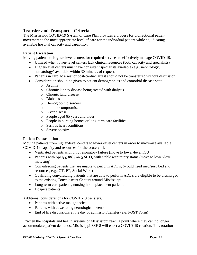# **Transfer and Transport – Criteria**

The Mississippi COVID-19 System of Care Plan provides a process for bidirectional patient movement to the most appropriate level of care for the individual patient while adjudicating available hospital capacity and capability.

#### **Patient Escalation**

Moving patients to **higher**-level centers for required services to effectively manage COVID-19.

- Utilized when lower-level centers lack clinical resources (both capacity and specialists)
- Higher-level centers must have consultant specialists available (e.g., nephrology, hematology) available within 30 minutes of request.
- Patients in cardiac arrest or post-cardiac arrest should not be transferred without discussion.
- Consideration should be given to patient demographics and comorbid disease state.
	- o Asthma
	- o Chronic kidney disease being treated with dialysis
	- o Chronic lung disease
	- o Diabetes
	- o Hemoglobin disorders
	- o Immunocompromised
	- o Liver disease
	- o People aged 65 years and older
	- o People in nursing homes or long-term care facilities
	- o Serious heart conditions
	- o Severe obesity

#### **Patient De-escalation**

Moving patients from higher-level centers to **lower**-level centers in order to maximize available COVID-19 capacity and resources for the acutely ill.

- Ventilated patients with only respiratory failure (move to lower-level ICU)
- Patients with  $SpO_2 \geq 88\%$  on  $\leq 6L O_2$  with stable respiratory status (move to lower-level med/surg)
- Convalescing patients that are unable to perform ADL's, (would need med/surg bed and resources, e.g., OT, PT, Social Work)
- Qualifying convalescing patients that are able to perform ADL's are eligible to be discharged to the existing Convalescent Centers around Mississippi.
- Long term care patients, nursing home placement patients
- Hospice patients

Additional considerations for COVID-19 transfers.

- Patients with active malignancies
- Patients with devastating neurological events
- End of life discussions at the day of admission/transfer (e.g. POST Form)

If/when the hospitals and health systems of Mississippi reach a point where they can no longer accommodate patient demands, Mississippi ESF-8 will enact a COVID-19 rotation. This rotation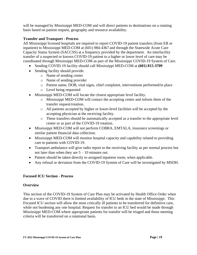will be managed by Mississippi MED-COM and will direct patients to destinations on a rotating basis based on patient request, geography and resource availability.

#### **Transfer and Transport - Process**

All Mississippi licensed hospitals are required to report COVID-19 patient transfers (from ER or inpatient) to Mississippi MED-COM at (601) 984-4367 and through the Statewide Acute Care Capacity Status System (SACCSS) at a frequency provided by the department. An interfacility transfer of a suspected or known COVID-19 patient to a higher or lower level of care may be coordinated through Mississippi MED-COM as part of the Mississippi COVID-19 System of Care.

- Sending COVID-19 facility should call Mississippi MED-COM at **(601) 815-3709**
- Sending facility should provide:
	- o Name of sending center
	- o Name of sending provider
	- o Patient name, DOB, vital signs, chief complaint, interventions performed/in place
	- o Level being requested
- Mississippi MED-COM will locate the closest appropriate level facility.
	- o Mississippi MED-COM will contact the accepting center and inform them of the transfer request/rotation.
	- o All patients accepted by higher or lower-level facilities will be accepted by the accepting physician at the receiving facility.
	- o These transfers should be automatically accepted as a transfer to the appropriate level center or as part of the COVID-19 rotation.
- Mississippi MED-COM will not perform COBRA, EMTALA, insurance screenings or similar patient financial data collection.
- Mississippi MED-COM will monitor hospital capacity and capability related to providing care to patients with COVID-19.
- Transport ambulance will give radio report to the receiving facility as per normal process but not later than when they are  $5 - 10$  minutes out.
- Patient should be taken directly to assigned inpatient room, when applicable.
- Any refusal or deviation from the COVID-19 System of Care will be investigated by MSDH.

### **Focused ICU Section - Process**

#### **Overview**

This section of the COVID-19 System of Care Plan may be activated by Health Office Order when due to a wave of COVID there is limited availability of ICU beds in the state of Mississippi. This Focused ICU section will allow the most critically ill patients to be transferred for definitive care, while not burdening any one hospital. Request for transfer to an ICU bed would be made through Mississippi MED-COM where appropriate patients for transfer will be triaged and those meeting criteria will be transferred on a rotational basis.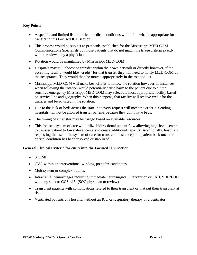#### **Key Points**

- A specific and limited list of critical medical conditions will define what is appropriate for transfer in this Focused ICU section.
- This process would be subject to protocols established for the Mississippi MED-COM Communications Specialists but those patients that do not match the triage criteria exactly will be reviewed by a physician.
- Rotation would be maintained by Mississippi MED-COM.
- Hospitals may still choose to transfer within their own network or directly however, if the accepting facility would like "credit" for that transfer they will need to notify MED-COM of the acceptance. They would then be moved appropriately in the rotation list.
- Mississippi MED-COM will make best efforts to follow the rotation however, in instances when following the rotation would potentially cause harm to the patient due to a time sensitive emergency Mississippi MED-COM may select the most appropriate facility based on service line and geography. When this happens, that facility will receive credit for the transfer and be adjusted in the rotation.
- Due to the lack of beds across the state, not every request will meet the criteria. Sending hospitals will not be allowed transfer patients because they don't have beds.
- The timing of a transfer may be triaged based on available resources.
- This focused system of care will utilize bidirectional patient flow allowing high-level centers to transfer patient to lower-level centers to create additional capacity. Additionally, hospitals requesting the use of the system of care for transfers must accept the patient back once the critical condition has been resolved or stabilized.

#### **General Clinical Criteria for entry into the Focused ICU section**

- STEMI
- CVA within an interventional window, post tPA candidates.
- Multisystem or complex trauma.
- Intracranial hemorrhages requiring immediate neurosurgical intervention or SAH, SDH/EDH with any shift or GCS <15. (SOC physician to review)
- Transplant patients with complications related to their transplant or that put their transplant at risk.
- Ventilated patients at a hospital without an ICU or respiratory therapy or a ventilator.